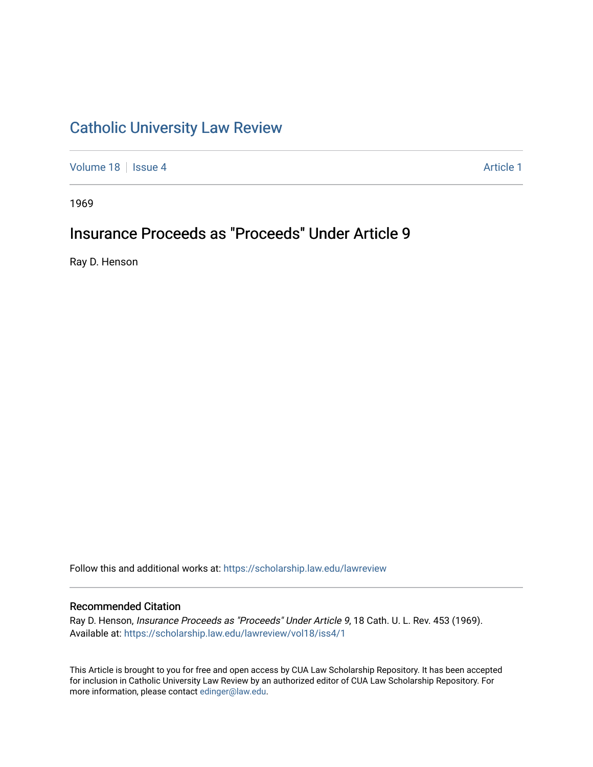## [Catholic University Law Review](https://scholarship.law.edu/lawreview)

[Volume 18](https://scholarship.law.edu/lawreview/vol18) | [Issue 4](https://scholarship.law.edu/lawreview/vol18/iss4) Article 1

1969

# Insurance Proceeds as "Proceeds" Under Article 9

Ray D. Henson

Follow this and additional works at: [https://scholarship.law.edu/lawreview](https://scholarship.law.edu/lawreview?utm_source=scholarship.law.edu%2Flawreview%2Fvol18%2Fiss4%2F1&utm_medium=PDF&utm_campaign=PDFCoverPages)

### Recommended Citation

Ray D. Henson, Insurance Proceeds as "Proceeds" Under Article 9, 18 Cath. U. L. Rev. 453 (1969). Available at: [https://scholarship.law.edu/lawreview/vol18/iss4/1](https://scholarship.law.edu/lawreview/vol18/iss4/1?utm_source=scholarship.law.edu%2Flawreview%2Fvol18%2Fiss4%2F1&utm_medium=PDF&utm_campaign=PDFCoverPages)

This Article is brought to you for free and open access by CUA Law Scholarship Repository. It has been accepted for inclusion in Catholic University Law Review by an authorized editor of CUA Law Scholarship Repository. For more information, please contact [edinger@law.edu.](mailto:edinger@law.edu)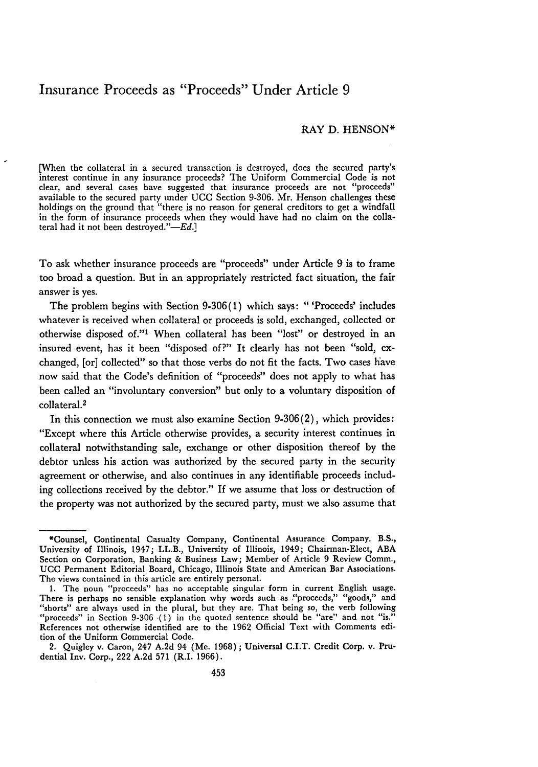### Insurance Proceeds as "Proceeds" Under Article **9**

#### RAY **D. HENSON\***

**[When** the collateral in a secured transaction is destroyed, does the secured party's interest continue in any insurance proceeds? The Uniform Commercial Code is not clear, and several cases have suggested that insurance proceeds are not "proceeds" available to the secured party under **UCC** Section **9-306.** Mr. Henson challenges these holdings on the ground that "there is no reason for general creditors to get a windfall in the form of insurance proceeds when they would have had no claim on the collateral had it not been destroyed." $-Ed$ .]

To ask whether insurance proceeds are "proceeds" under Article **9** is to frame too broad a question. But in an appropriately restricted fact situation, the fair answer is yes.

The problem begins with Section **9-306(1)** which says: "'Proceeds' includes whatever is received when collateral or proceeds is sold, exchanged, collected or otherwise disposed of."<sup>1</sup> When collateral has been "lost" or destroyed in an insured event, has it been "disposed of?" It clearly has not been "sold, exchanged, [or] collected" so that those verbs do not fit the facts. Two cases have now said that the Code's definition of "proceeds" does not apply to what has been called an "involuntary conversion" but only to a voluntary disposition of collateral.<sup>2</sup>

In this connection we must also examine Section **9-306** (2), which provides: "Except where this Article otherwise provides, a security interest continues in collateral notwithstanding sale, exchange or other disposition thereof **by** the debtor unless his action was authorized **by** the secured party in the security agreement or otherwise, and also continues in any identifiable proceeds including collections received **by** the debtor." If we assume that loss or destruction of the property was not authorized **by** the secured party, must we also assume that

<sup>\*</sup>Counsel, Continental Casualty Company, Continental Assurance Company. B.S., University of Illinois, 1947; **LL.B., University of Illinois, 1949;** Chairman-Elect, **ABA** Section on Corporation, Banking **&** Business **Law;** Member of Article **9 Review** Comm., **UCC** Permanent Editorial Board, Chicago, Illinois State and American Bar Associations. The views contained in this article are entirely personal.

**<sup>1.</sup>** The noun "proceeds" has no acceptable singular form in current English usage. There is perhaps no sensible explanation why words such as "proceeds," "goods," and "shorts" are always used in the plural, but they are. That being so, the verb following "proceeds" in Section **9-306 (1)** in the quoted sentence should be "are" and not **"is."** References not otherwise identified are to the **1962** Official Text with Comments edi**tion of** the Uniform Commercial Code.

**<sup>2.</sup> Quigley v. Caron, 247 A.2d 94 (Me. 1968); Universal C.I.T. Credit Corp. v.** Prudential **Inv.** Corp., 222 **A.2d 571 (R.I. 1966).**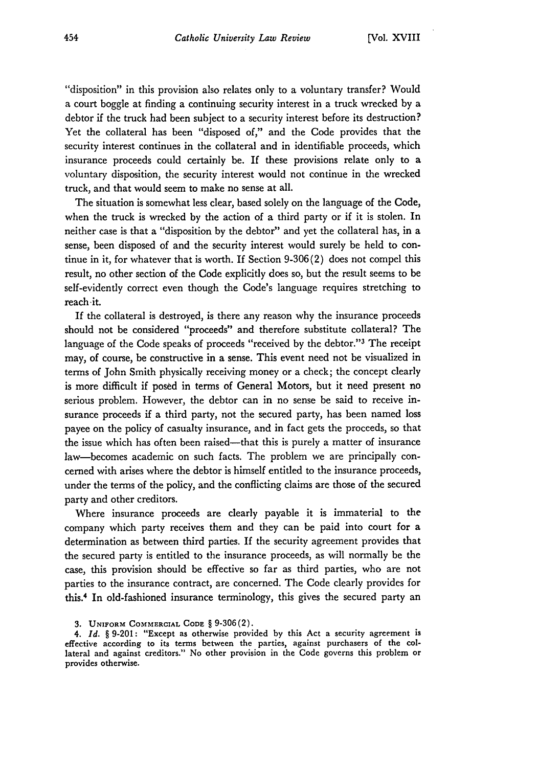"disposition" in this provision also relates only to a voluntary transfer? Would a court boggle at finding a continuing security interest in a truck wrecked by a debtor if the truck had been subject to a security interest before its destruction? Yet the collateral has been "disposed of," and the Code provides that the security interest continues in the collateral and in identifiable proceeds, which insurance proceeds could certainly be. If these provisions relate only to a voluntary disposition, the security interest would not continue in the wrecked truck, and that would seem to make no sense at all.

The situation is somewhat less clear, based solely on the language of the Code, when the truck is wrecked by the action of a third party or if it is stolen. In neither case is that a "disposition by the debtor" and yet the collateral has, in a sense, been disposed of and the security interest would surely be held to continue in it, for whatever that is worth. If Section 9-306(2) does not compel this result, no other section of the Code explicitly does so, but the result seems to be self-evidently correct even though the Code's language requires stretching to reach it.

If the collateral is destroyed, is there any reason why the insurance proceeds should not be considered "proceeds" and therefore substitute collateral? The language of the Code speaks of proceeds "received by the debtor."<sup>3</sup> The receipt may, of course, be constructive in a sense. This event need not be visualized in terms of John Smith physically receiving money or a check; the concept clearly is more difficult if posed in terms of General Motors, but it need present no serious problem. However, the debtor can in no sense be said to receive insurance proceeds if a third party, not the secured party, has been named loss payee on the policy of casualty insurance, and in fact gets the proceeds, so that the issue which has often been raised-that this is purely a matter of insurance law-becomes academic on such facts. The problem we are principally concemed with arises where the debtor is himself entitled to the insurance proceeds, under the terms of the policy, and the conflicting claims are those of the secured party and other creditors.

Where insurance proceeds are clearly payable it is immaterial to the company which party receives them and they can be paid into court for a determination as between third parties. If the security agreement provides that the secured party is entitled to the insurance proceeds, as will normally be the case, this provision should be effective so far as third parties, who are not parties to the insurance contract, are concerned. The Code clearly provides for this.4 In old-fashioned insurance terminology, this gives the secured party an

<sup>3.</sup> UNIFORM COMMERCIAL **CODE** § 9-306(2).

*<sup>4.</sup> Id. §* 9-201: "Except as otherwise provided by this Act a security agreement is effective according to its terms between the parties, against purchasers of the collateral and against creditors." No other provision in the Code governs this problem or provides otherwise.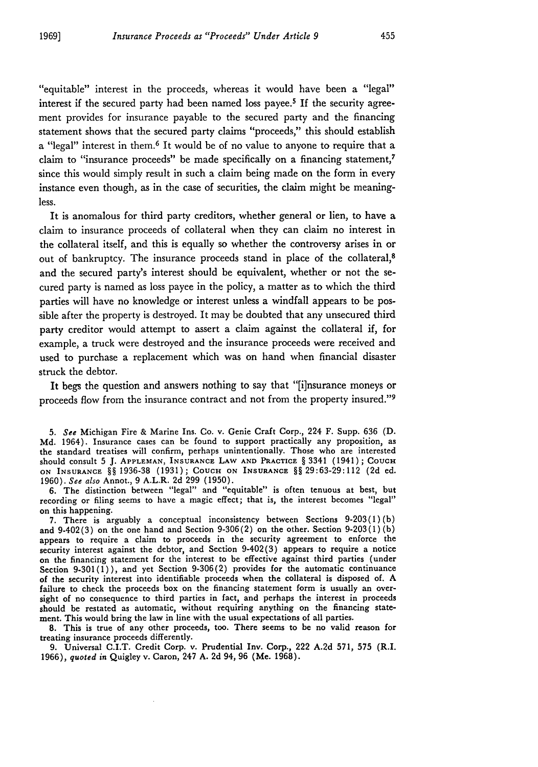"equitable" interest in the proceeds, whereas it would have been a "legal" interest if the secured party had been named loss payee.<sup>5</sup> If the security agreement provides for insurance payable to the secured party and the financing statement shows that the secured party claims "proceeds," this should establish a "legal" interest in them.<sup>6</sup> It would be of no value to anyone to require that a claim to "insurance proceeds" be made specifically on a financing statement,<sup>7</sup> since this would simply result in such a claim being made on the form in every instance even though, as in the case of securities, the claim might be meaningless.

It is anomalous for third party creditors, whether general or lien, to have a claim to insurance proceeds of collateral when they can claim no interest in the collateral itself, and this is equally so whether the controversy arises in or out of bankruptcy. The insurance proceeds stand in place of the collateral,<sup>8</sup> and the secured party's interest should be equivalent, whether or not the secured party is named as loss payee in the policy, a matter as to which the third parties will have no knowledge or interest unless a windfall appears to be possible after the property is destroyed. It may be doubted that any unsecured third party creditor would attempt to assert a claim against the collateral if, for example, a truck were destroyed and the insurance proceeds were received and used to purchase a replacement which was on hand when financial disaster struck the debtor.

It begs the question and answers nothing to say that "[i]nsurance moneys or proceeds flow from the insurance contract and not from the property insured."<sup>9</sup>

6. The distinction between "legal" and "equitable" is often tenuous at best, but recording or filing seems to have a magic effect; that is, the interest becomes "legal" on this happening.

7. There is arguably a conceptual inconsistency between Sections 9-203(1)(b) and  $9.402(3)$  on the one hand and Section  $9.306(2)$  on the other. Section  $9.203(1)(b)$ appears to require a claim to proceeds in the security agreement to enforce the security interest against the debtor, and Section 9-402(3) appears to require a notice on the financing statement for the interest to be effective against third parties (under Section 9-301(1)), and yet Section 9-306(2) provides for the automatic continuance of the security interest into identifiable proceeds when the collateral is disposed of. A failure to check the proceeds box on the financing statement form is usually an oversight of no consequence to third parties in fact, and perhaps the interest in proceeds should be restated as automatic, without requiring anything on the financing statement. This would bring the law in line with the usual expectations of all parties.

**8.** This is true of any other proceeds, too. There seems to be **no** valid reason for treating insurance proceeds differently.

**9.** Universal C.I.T. Credit Corp. v. Prudential Inv. Corp., 222 **A.2d 571, 575 (R.I. 1966),** *quoted in* Quigley v. Caron, 247 **A. 2d** 94, **96** (Me. **1968).**

*<sup>5.</sup> See* Michigan Fire & Marine Ins. Co. v. Genie Craft Corp., 224 F. Supp. 636 (D. Md. 1964). Insurance cases can be found to support practically any proposition, as the standard treatises will confirm, perhaps unintentionally. Those who are interested should consult 5 J. **APPLEMAN, INSURANCE** LAW **AND** PRACTICE § 3341 (1941); **COUCH ON INSURANCE** §§ 1936-38 (1931); Coucu **ON INSURANCE** §§29:63-29:112 (2d ed. 1960). *See also* Annot., 9 A.L.R. 2d 299 (1950).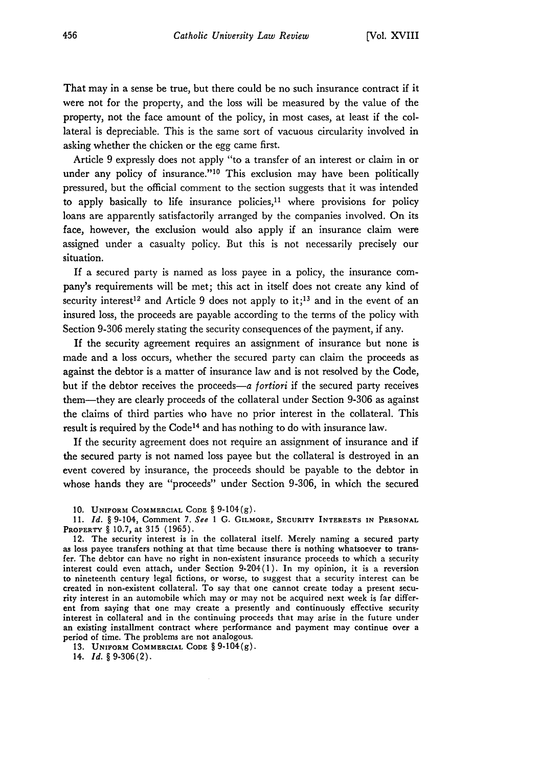That may in a sense be true, but there could be no such insurance contract if it were not for the property, and the loss will be measured by the value of the property, not the face amount of the policy, in most cases, at least if the collateral is depreciable. This is the same sort of vacuous circularity involved in asking whether the chicken or the egg came first.

Article 9 expressly does not apply "to a transfer of an interest or claim in or under any policy of insurance."<sup>10</sup> This exclusion may have been politically pressured, but the official comment to the section suggests that it was intended to apply basically to life insurance policies, $11$  where provisions for policy loans are apparently satisfactorily arranged by the companies involved. On its face, however, the exclusion would also apply if an insurance claim were assigned under a casualty policy. But this is not necessarily precisely our situation.

If a secured party is named as loss payee in a policy, the insurance company's requirements will be met; this act in itself does not create any kind of security interest<sup>12</sup> and Article 9 does not apply to it;<sup>13</sup> and in the event of an insured loss, the proceeds are payable according to the terms of the policy with Section 9-306 merely stating the security consequences of the payment, if any.

If the security agreement requires an assignment of insurance but none is made and a loss occurs, whether the secured party can claim the proceeds as against the debtor is a matter of insurance law and is not resolved by the Code, but if the debtor receives the proceeds-a *fortiori* if the secured party receives them-they are clearly proceeds of the collateral under Section 9-306 as against the claims of third parties who have no prior interest in the collateral. This result is required by the Code<sup>14</sup> and has nothing to do with insurance law.

If the security agreement does not require an assignment of insurance and if the secured party is not named loss payee but the collateral is destroyed in an event covered by insurance, the proceeds should be payable to the debtor in whose hands they are "proceeds" under Section 9-306, in which the secured

13. **UNIFORM** COMMERCIAL **CODE** § 9-104(g).

14. *Id. §* 9-306(2).

**<sup>10.</sup> UNIFORM COMMERCIAL CODE** § 9-104(g).

<sup>11.</sup> *Id. §* 9-104, Comment 7. *See* 1 **G.** GILMORE, SECURITY **INTERESTS** IN **PERSONAL PROPERTY** *§* 10.7, at 315 (1965).

<sup>12.</sup> The security interest is in the collateral itself. Merely naming a secured party as loss payee transfers nothing at that time because there is nothing whatsoever to transfer. The debtor can have no right in non-existent insurance proceeds to which a security interest could even attach, under Section 9-204(1). In my opinion, it is a reversion to nineteenth century legal fictions, or worse, to suggest that a security interest can be created in non-existent collateral. To say that one cannot create today a present security interest in an automobile which may or may not be acquired next week is far different from saying that one may create a presently and continuously effective security interest in collateral and in the continuing proceeds that may arise in the future under an existing installment contract where performance and payment may continue over a **period of** time. The problems are not analogous.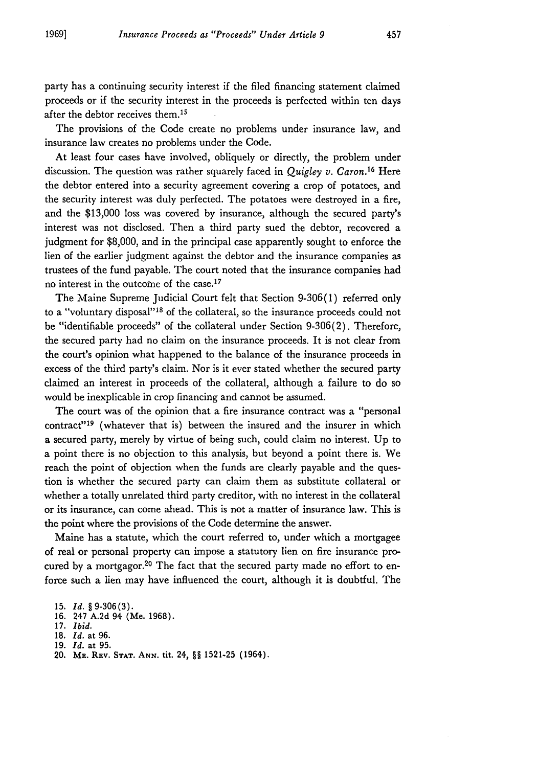party has a continuing security interest if the filed financing statement claimed proceeds or if the security interest in the proceeds is perfected within ten days after the debtor receives them.<sup>15</sup>

The provisions of the Code create no problems under insurance law, and insurance law creates no problems under the Code.

At least four cases have involved, obliquely or directly, the problem under discussion. The question was rather squarely faced in *Quigley v. Caron.16* Here the debtor entered into a security agreement covering a crop of potatoes, and the security interest was duly perfected. The potatoes were destroyed in a fire, and the **\$13,000** loss was covered by insurance, although the secured party's interest was not disclosed. Then a third party sued the debtor, recovered a judgment for \$8,000, and in the principal case apparently sought to enforce the lien of the earlier judgment against the debtor and the insurance companies as trustees of the fund payable. The court noted that the insurance companies had no interest in the outcome of the case. <sup>17</sup>

The Maine Supreme Judicial Court felt that Section 9-306(1) referred only to a "voluntary disposal"<sup>18</sup> of the collateral, so the insurance proceeds could not be "identifiable proceeds" of the collateral under Section 9-306(2). Therefore, the secured party had no claim on the insurance proceeds. It is not clear from the court's opinion what happened to the balance of the insurance proceeds in excess of the third party's claim. Nor is it ever stated whether the secured party claimed an interest in proceeds of the collateral, although a failure to do so would be inexplicable in crop financing and cannot be assumed.

The court was of the opinion that a fire insurance contract was a "personal contract"<sup>19</sup> (whatever that is) between the insured and the insurer in which a secured party, merely by virtue of being such, could claim no interest. Up to a point there is no objection to this analysis, but beyond a point there is. We reach the point of objection when the funds are clearly payable and the question is whether the secured party can claim them as substitute collateral or whether a totally unrelated third party creditor, with no interest in the collateral or its insurance, can come ahead. This is not a matter of insurance law. This is the point where the provisions of the Code determine the answer.

Maine has a statute, which the court referred to, under which a mortgagee of real or personal property can impose a statutory lien on fire insurance procured by a mortgagor.<sup>20</sup> The fact that the secured party made no effort to enforce such a lien may have influenced the court, although it is doubtful. The

**<sup>15.</sup>** *Id.* **§ 9-306(3).**

<sup>16. 247</sup> A.2d 94 (Me. 1968).

<sup>17.</sup> *Ibid.*

**<sup>18.</sup>** *Id.* at **96.**

**<sup>19.</sup>** *Id.* at **95.**

<sup>20.</sup> **ME. REV. STAT. ANN.** tit. 24, §§ 1521-25 (1964).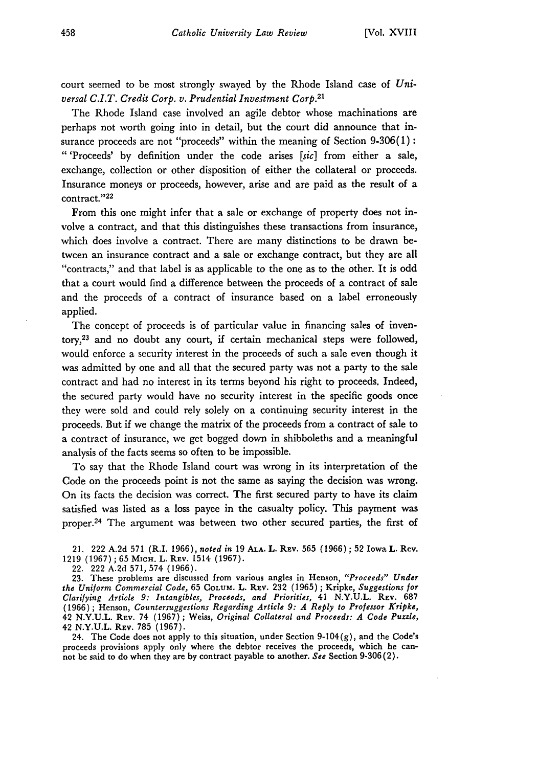court seemed to be most strongly swayed by the Rhode Island case of *Universal C.I.T. Credit Corp. v. Prudential Investment Corp.21*

The Rhode Island case involved an agile debtor whose machinations are perhaps not worth going into in detail, but the court did announce that insurance proceeds are not "proceeds" within the meaning of Section  $9-306(1)$ : **"** 'Proceeds' by definition under the code arises *[sic]* from either a sale, exchange, collection or other disposition of either the collateral or proceeds. Insurance moneys or proceeds, however, arise and are paid as the result of a contract. **"22**

From this one might infer that a sale or exchange of property does not involve a contract, and that this distinguishes these transactions from insurance, which does involve a contract. There are many distinctions to be drawn between an insurance contract and a sale or exchange contract, but they are all "contracts," and that label is as applicable to the one as to the other. It is odd that a court would find a difference between the proceeds of a contract of sale and the proceeds of a contract of insurance based on a label erroneously applied.

The concept of proceeds is of particular value in financing sales of inventory,23 and no doubt any court, if certain mechanical steps were followed, would enforce a security interest in the proceeds of such a sale even though it was admitted by one and all that the secured party was not a party to the sale contract and had no interest in its terms beyond his right to proceeds. Indeed, the secured party would have no security interest in the specific goods once they were sold and could rely solely on a continuing security interest in the proceeds. But if we change the matrix of the proceeds from a contract of sale to a contract of insurance, we get bogged down in shibboleths and a meaningful analysis of the facts seems so often to be impossible.

To say that the Rhode Island court was wrong in its interpretation of the Code on the proceeds point is not the same as saying the decision was wrong. On its facts the decision was correct. The first secured party to have its claim satisfied was listed as a loss payee in the casualty policy. This payment was proper.24 The argument was between two other secured parties, the first of

21. 222 A.2d **571** (R.I. 1966), *noted in* 19 **ALA.** L. REV. 565 (1966) **;** 52 Iowa L. Rev. 1219 (1967); 65 MICH. L. REv. 1514 (1967).

22. 222 A.2d 571, 574 (1966).

23. These problems are discussed from various angles in Henson, *"Proceeds" Under the Uniform Commercial Code,* 65 COLUM. L. REV. 232 (1965) ; Kripke, *Suggestions for Clarifying Article 9: Intangibles, Proceeds, and Priorities,* 41 N.Y.U.L. REV. 687 (1966); Henson, *Countersuggestions Regarding Article 9: A Reply to Professor Kripke,* 42 N.Y.U.L. REV. 74 (1967); Weiss, *Original Collateral and Proceeds: A Code Puzzle,* 42 N.Y.U.L. REV. 785 (1967).

24. The Code does not apply to this situation, under Section <sup>9</sup> - <sup>1</sup> 0<sup>4</sup> (g), and the Code's proceeds provisions apply only where the debtor receives the proceeds, which he cannot be said to do when they are by contract payable to another, *See* Section 9-306 (2).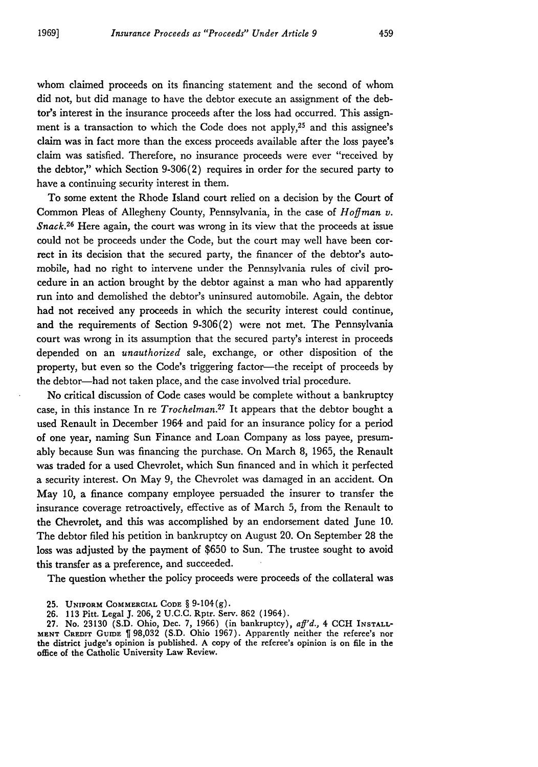whom claimed proceeds on its financing statement and the second of whom did not, but did manage to have the debtor execute an assignment of the debtor's interest in the insurance proceeds after the loss had occurred. This assignment is a transaction to which the Code does not apply,25 and this assignee's claim was in fact more than the excess proceeds available after the loss payee's claim was satisfied. Therefore, no insurance proceeds were ever "received by the debtor," which Section 9-306(2) requires in order for the secured party to have a continuing security interest in them.

To some extent the Rhode Island court relied on a decision by the Court of Common Pleas of Allegheny County, Pennsylvania, in the case of *Hoffman v. Snack.26* Here again, the court was wrong in its view that the proceeds at issue could not be proceeds under the Code, but the court may well have been correct in its decision that the secured party, the financer of the debtor's automobile, had no right to intervene under the Pennsylvania rules of civil procedure in an action brought by the debtor against a man who had apparently run into and demolished the debtor's uninsured automobile. Again, the debtor had not received any proceeds in which the security interest could continue, and the requirements of Section 9-306(2) were not met. The Pennsylvania court was wrong in its assumption that the secured party's interest in proceeds depended on an *unauthorized* sale, exchange, or other disposition of the property, but even so the Code's triggering factor-the receipt of proceeds by the debtor-had not taken place, and the case involved trial procedure.

No critical discussion of Code cases would be complete without a bankruptcy case, in this instance In re *Trochelman*.<sup>27</sup> It appears that the debtor bought a used Renault in December 1964 and paid for an insurance policy for a period of one year, naming Sun Finance and Loan Company as loss payee, presumably because Sun was financing the purchase. On March 8, 1965, the Renault was traded for a used Chevrolet, which Sun financed and in which it perfected a security interest. On May 9, the Chevrolet was damaged in an accident. On May 10, a finance company employee persuaded the insurer to transfer the insurance coverage retroactively, effective as of March 5, from the Renault to the Chevrolet, and this was accomplished by an endorsement dated June 10. The debtor filed his petition in bankruptcy on August 20. On September 28 the loss was adjusted by the payment of \$650 to Sun. The trustee sought to avoid this transfer as a preference, and succeeded.

The question whether the policy proceeds were proceeds of the collateral was

**25. UNIFORM** COMMERCIAL **CODE** § **9-104(g).**

26. 113 Pitt. Legal J. 206, 2 U.C.C. Rptr. Serv. 862 (1964).

27. No. 23130 (S.D. Ohio, Dec. 7, 1966) (in bankruptcy), *aff'd.,* 4 CCH INSTALL-**MENT CREDIT GUIDE %** 98,032 (S.D. Ohio 1967). Apparently neither the referee's nor the district judge's opinion is published. A copy of the referee's opinion is on file in the office of the Catholic University Law Review.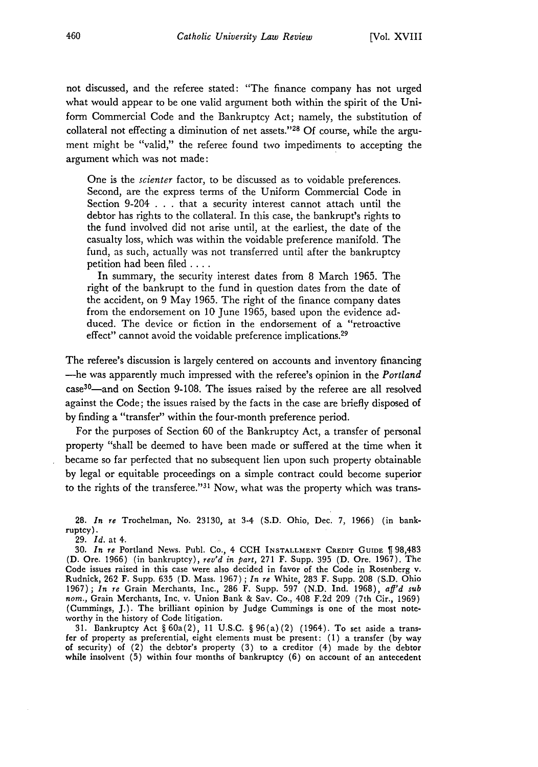not discussed, and the referee stated: "The finance company has not urged what would appear to be one valid argument both within the spirit of the Uniform Commercial Code and the Bankruptcy Act; namely, the substitution of collateral not effecting a diminution of net assets."'28 **Of** course, while the argument might be "valid," the referee found two impediments to accepting the argument which was not made:

One is the *scienter* factor, to be discussed as to voidable preferences. Second, are the express terms of the Uniform Commercial Code in Section 9-204 . . . that a security interest cannot attach until the debtor has rights to the collateral. In this case, the bankrupt's rights to the fund involved did not arise until, at the earliest, the date of the casualty loss, which was within the voidable preference manifold. The fund, as such, actually was not transferred until after the bankruptcy petition had been filed **....**

In summary, the security interest dates from 8 March 1965. The right of the bankrupt to the fund in question dates from the date of the accident, on 9 May 1965. The right of the finance company dates from the endorsement on 10 June 1965, based upon the evidence adduced. The device or fiction in the endorsement of a "retroactive effect" cannot avoid the voidable preference implications.<sup>29</sup>

The referee's discussion is largely centered on accounts and inventory financing -he was apparently much impressed with the referee's opinion in the *Portland* case<sup>30</sup>—and on Section 9-108. The issues raised by the referee are all resolved against the Code; the issues raised by the facts in the case are briefly disposed of by finding a "transfer" within the four-month preference period.

For the purposes of Section 60 of the Bankruptcy Act, a transfer of personal property "shall be deemed to have been made or suffered at the time when it became so far perfected that no subsequent lien upon such property obtainable by legal or equitable proceedings on a simple contract could become superior to the rights of the transferee." $31$  Now, what was the property which was trans-

28. *In re* Trochelman, No. 23130, at 3-4 (S.D. Ohio, Dec. *7,* 1966) (in bankruptcy).

29. *Id.* at 4.

30. *In re* Portland News. Publ. Co., 4 CCH **INSTALLMENT** CREDIT **GUIDE** 98,483 (D. Ore. 1966) (in bankruptcy), *rev'd in part,* 271 F. Supp. 395 (D. Ore. 1967). The Code issues raised in this case were also decided in favor of the Code in Rosenberg v. Rudnick, 262 F. Supp. 635 (D. Mass. 1967) ; *In re* White, 283 F. Supp. 208 (S.D. Ohio 1967); *In re* Grain Merchants, Inc., 286 F. Supp. 597 (N.D. Ind. 1968), *afl'd sub nom.,* Grain Merchants, Inc. v. Union Bank & Say. Co., 408 F.2d 209 (7th Cir., 1969) (Cummings, J.). The brilliant opinion by Judge Cummings is one of the most noteworthy in the history of Code litigation.

31. Bankruptcy Act § 60a(2), 11 U.S.C. § 96(a) (2) (1964). To set aside a transfer of property as preferential, eight elements must be present: (1) a transfer (by way of security) of (2) the debtor's property (3) to a creditor (4) made by the debtor while insolvent  $(5)$  within four months of bankruptcy  $(6)$  on account of an antecedent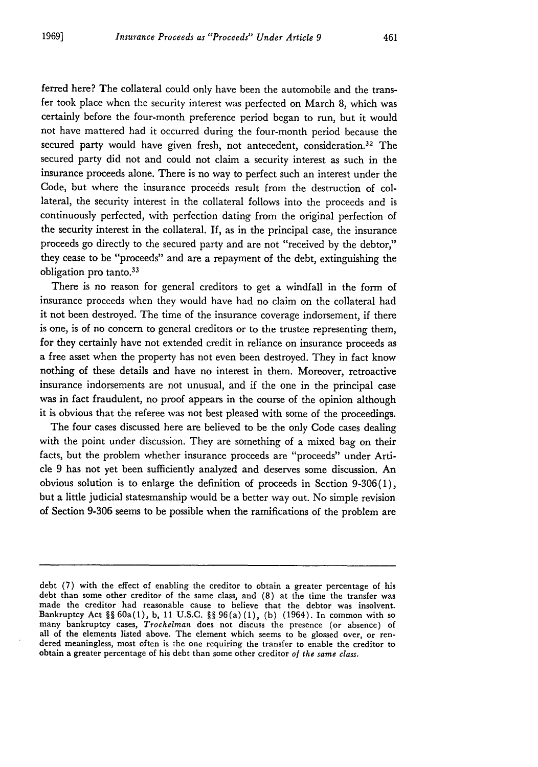ferred here? The collateral could only have been the automobile and the transfer took place when the security interest was perfected on March 8, which was certainly before the four-month preference period began to run, but it would not have mattered had it occurred during the four-month period because the secured party would have given fresh, not antecedent, consideration.<sup>32</sup> The secured party did not and could not claim a security interest as such in the insurance proceeds alone. There is no way to perfect such an interest under the Code, but where the insurance proceeds result from the destruction of collateral, the security interest in the collateral follows into the proceeds and is continuously perfected, with perfection dating from the original perfection of the security interest in the collateral. If, as in the principal case, the insurance proceeds go directly to the secured party and are not "received by the debtor," they cease to be "proceeds" and are a repayment of the debt, extinguishing the obligation pro tanto.<sup>33</sup>

There is no reason for general creditors to get a windfall in the form of insurance proceeds when they would have had no claim on the collateral had it not been destroyed. The time of the insurance coverage indorsement, if there is one, is of no concern to general creditors or to the trustee representing them, for they certainly have not extended credit in reliance on insurance proceeds as a free asset when the property has not even been destroyed. They in fact know nothing of these details and have no interest in them. Moreover, retroactive insurance indorsements are not unusual, and if the one in the principal case was in fact fraudulent, no proof appears in the course of the opinion although it is obvious that the referee was not best pleased with some of the proceedings.

The four cases discussed here are believed to be the only Code cases dealing with the point under discussion. They are something of a mixed bag on their facts, but the problem whether insurance proceeds are "proceeds" under Article 9 has not yet been sufficiently analyzed and deserves some discussion. An obvious solution is to enlarge the definition of proceeds in Section 9-306(1), but a little judicial statesmanship would be a better way out. No simple revision of Section 9-306 seems to be possible when the ramifications of the problem are

debt (7) with the effect of enabling the creditor to obtain a greater percentage of his debt than some other creditor of the same class, and (8) at the time the transfer was made the creditor had reasonable cause to believe that the debtor was insolvent. Bankruptcy Act §§ 60a(1), b, 11 U.S.C. **§§** 96(a) (1), (b) (1964). In common with so many bankruptcy cases, *Trochelman* does not discuss the presence **(or** absence) of all of the elements listed above. The element which seems to be glossed over, or ren- dered meaningless, most often is the one requiring the transfer to enable the creditor to obtain a greater percentage of his debt than some other creditor *of the same class.*